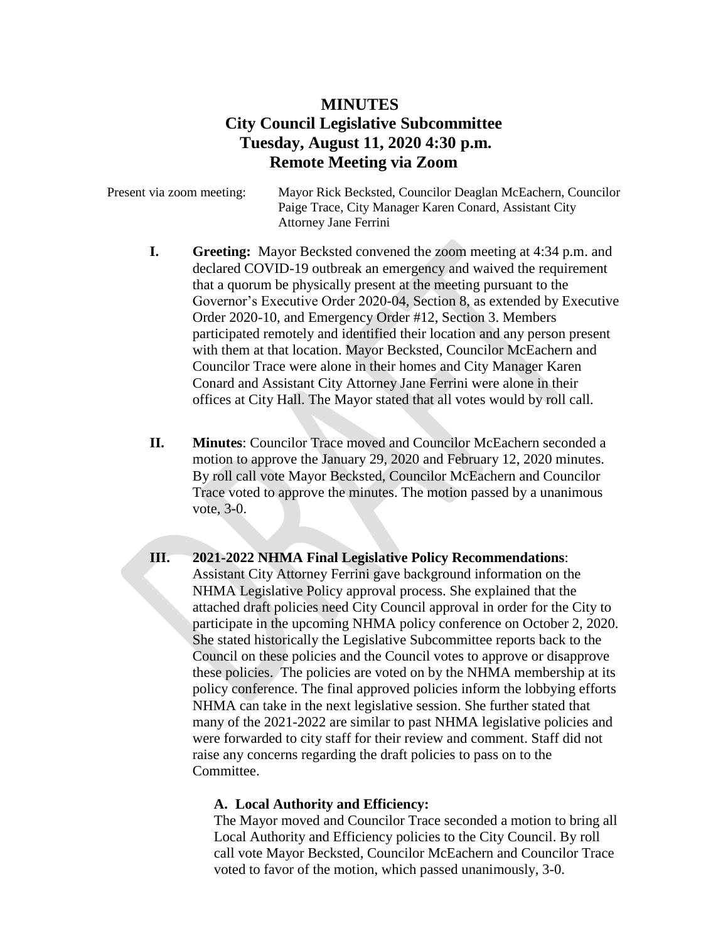# **MINUTES City Council Legislative Subcommittee Tuesday, August 11, 2020 4:30 p.m. Remote Meeting via Zoom**

Present via zoom meeting: Mayor Rick Becksted, Councilor Deaglan McEachern, Councilor Paige Trace, City Manager Karen Conard, Assistant City Attorney Jane Ferrini

- **I. Greeting:** Mayor Becksted convened the zoom meeting at 4:34 p.m. and declared COVID-19 outbreak an emergency and waived the requirement that a quorum be physically present at the meeting pursuant to the Governor's Executive Order 2020-04, Section 8, as extended by Executive Order 2020-10, and Emergency Order #12, Section 3. Members participated remotely and identified their location and any person present with them at that location. Mayor Becksted, Councilor McEachern and Councilor Trace were alone in their homes and City Manager Karen Conard and Assistant City Attorney Jane Ferrini were alone in their offices at City Hall. The Mayor stated that all votes would by roll call.
- **II. Minutes**: Councilor Trace moved and Councilor McEachern seconded a motion to approve the January 29, 2020 and February 12, 2020 minutes. By roll call vote Mayor Becksted, Councilor McEachern and Councilor Trace voted to approve the minutes. The motion passed by a unanimous vote, 3-0.

# **III. 2021-2022 NHMA Final Legislative Policy Recommendations**: Assistant City Attorney Ferrini gave background information on the NHMA Legislative Policy approval process. She explained that the attached draft policies need City Council approval in order for the City to participate in the upcoming NHMA policy conference on October 2, 2020. She stated historically the Legislative Subcommittee reports back to the Council on these policies and the Council votes to approve or disapprove these policies. The policies are voted on by the NHMA membership at its policy conference. The final approved policies inform the lobbying efforts NHMA can take in the next legislative session. She further stated that many of the 2021-2022 are similar to past NHMA legislative policies and were forwarded to city staff for their review and comment. Staff did not raise any concerns regarding the draft policies to pass on to the Committee.

#### **A. Local Authority and Efficiency:**

The Mayor moved and Councilor Trace seconded a motion to bring all Local Authority and Efficiency policies to the City Council. By roll call vote Mayor Becksted, Councilor McEachern and Councilor Trace voted to favor of the motion, which passed unanimously, 3-0.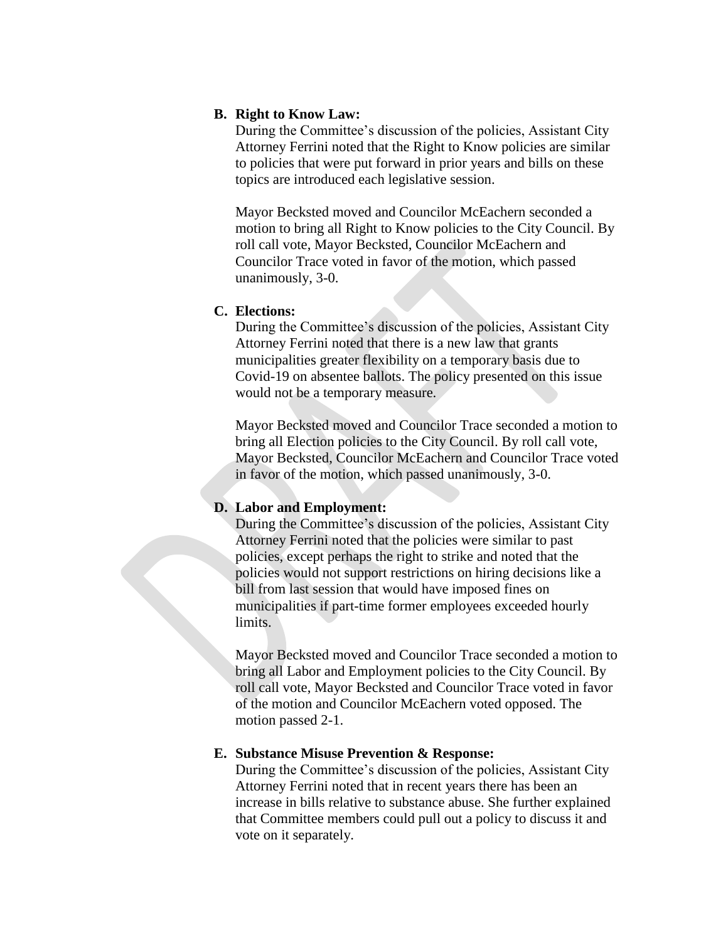#### **B. Right to Know Law:**

During the Committee's discussion of the policies, Assistant City Attorney Ferrini noted that the Right to Know policies are similar to policies that were put forward in prior years and bills on these topics are introduced each legislative session.

Mayor Becksted moved and Councilor McEachern seconded a motion to bring all Right to Know policies to the City Council. By roll call vote, Mayor Becksted, Councilor McEachern and Councilor Trace voted in favor of the motion, which passed unanimously, 3-0.

#### **C. Elections:**

During the Committee's discussion of the policies, Assistant City Attorney Ferrini noted that there is a new law that grants municipalities greater flexibility on a temporary basis due to Covid-19 on absentee ballots. The policy presented on this issue would not be a temporary measure.

Mayor Becksted moved and Councilor Trace seconded a motion to bring all Election policies to the City Council. By roll call vote, Mayor Becksted, Councilor McEachern and Councilor Trace voted in favor of the motion, which passed unanimously, 3-0.

#### **D. Labor and Employment:**

During the Committee's discussion of the policies, Assistant City Attorney Ferrini noted that the policies were similar to past policies, except perhaps the right to strike and noted that the policies would not support restrictions on hiring decisions like a bill from last session that would have imposed fines on municipalities if part-time former employees exceeded hourly limits.

Mayor Becksted moved and Councilor Trace seconded a motion to bring all Labor and Employment policies to the City Council. By roll call vote, Mayor Becksted and Councilor Trace voted in favor of the motion and Councilor McEachern voted opposed. The motion passed 2-1.

#### **E. Substance Misuse Prevention & Response:**

During the Committee's discussion of the policies, Assistant City Attorney Ferrini noted that in recent years there has been an increase in bills relative to substance abuse. She further explained that Committee members could pull out a policy to discuss it and vote on it separately.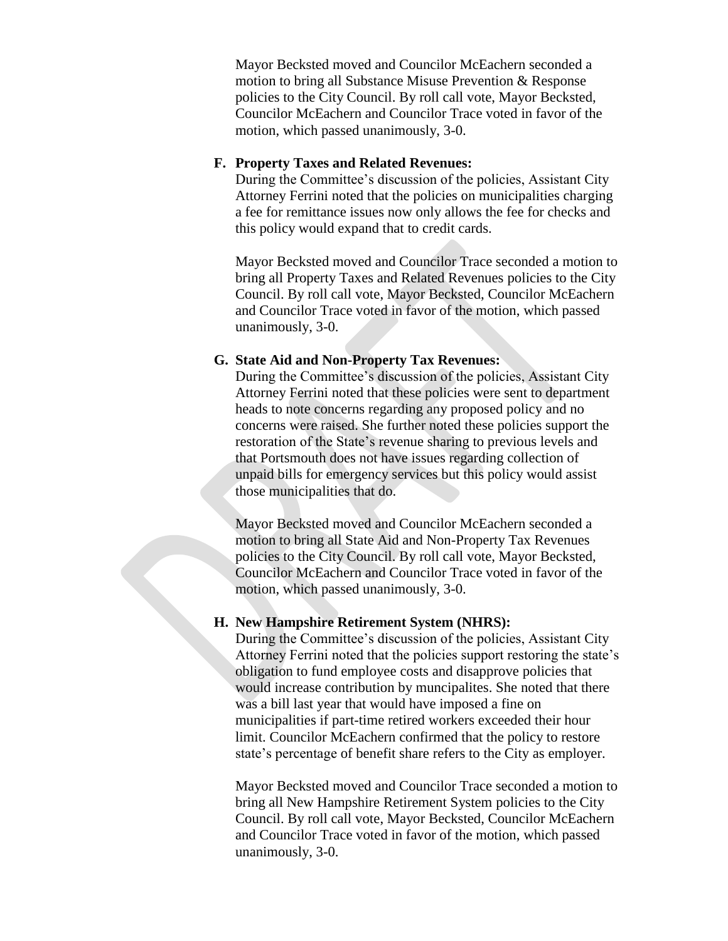Mayor Becksted moved and Councilor McEachern seconded a motion to bring all Substance Misuse Prevention & Response policies to the City Council. By roll call vote, Mayor Becksted, Councilor McEachern and Councilor Trace voted in favor of the motion, which passed unanimously, 3-0.

#### **F. Property Taxes and Related Revenues:**

During the Committee's discussion of the policies, Assistant City Attorney Ferrini noted that the policies on municipalities charging a fee for remittance issues now only allows the fee for checks and this policy would expand that to credit cards.

Mayor Becksted moved and Councilor Trace seconded a motion to bring all Property Taxes and Related Revenues policies to the City Council. By roll call vote, Mayor Becksted, Councilor McEachern and Councilor Trace voted in favor of the motion, which passed unanimously, 3-0.

#### **G. State Aid and Non-Property Tax Revenues:**

During the Committee's discussion of the policies, Assistant City Attorney Ferrini noted that these policies were sent to department heads to note concerns regarding any proposed policy and no concerns were raised. She further noted these policies support the restoration of the State's revenue sharing to previous levels and that Portsmouth does not have issues regarding collection of unpaid bills for emergency services but this policy would assist those municipalities that do.

Mayor Becksted moved and Councilor McEachern seconded a motion to bring all State Aid and Non-Property Tax Revenues policies to the City Council. By roll call vote, Mayor Becksted, Councilor McEachern and Councilor Trace voted in favor of the motion, which passed unanimously, 3-0.

#### **H. New Hampshire Retirement System (NHRS):**

During the Committee's discussion of the policies, Assistant City Attorney Ferrini noted that the policies support restoring the state's obligation to fund employee costs and disapprove policies that would increase contribution by muncipalites. She noted that there was a bill last year that would have imposed a fine on municipalities if part-time retired workers exceeded their hour limit. Councilor McEachern confirmed that the policy to restore state's percentage of benefit share refers to the City as employer.

Mayor Becksted moved and Councilor Trace seconded a motion to bring all New Hampshire Retirement System policies to the City Council. By roll call vote, Mayor Becksted, Councilor McEachern and Councilor Trace voted in favor of the motion, which passed unanimously, 3-0.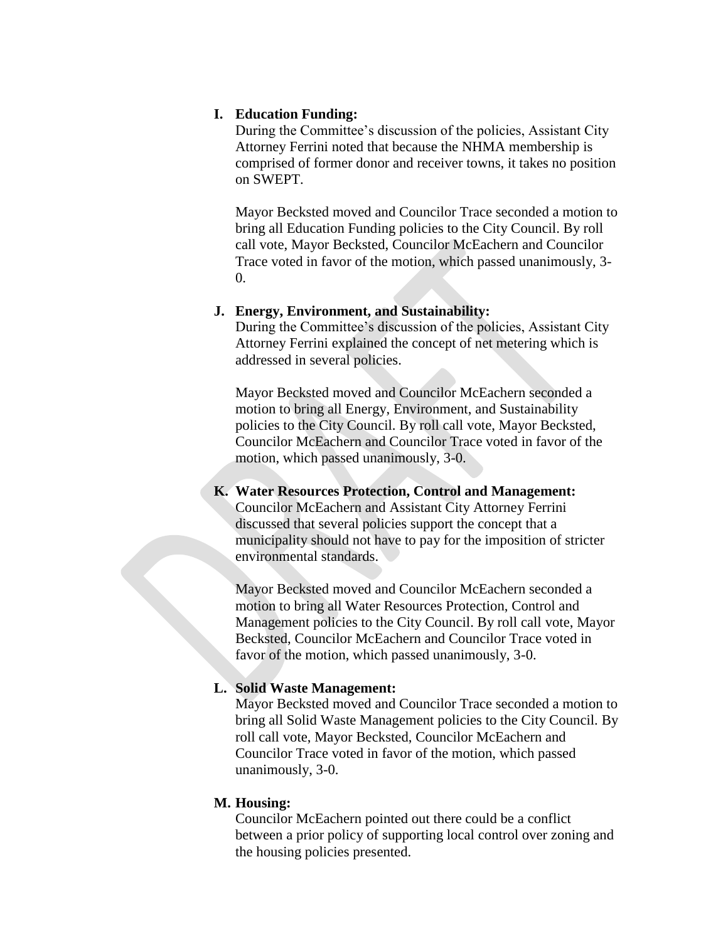#### **I. Education Funding:**

During the Committee's discussion of the policies, Assistant City Attorney Ferrini noted that because the NHMA membership is comprised of former donor and receiver towns, it takes no position on SWEPT.

Mayor Becksted moved and Councilor Trace seconded a motion to bring all Education Funding policies to the City Council. By roll call vote, Mayor Becksted, Councilor McEachern and Councilor Trace voted in favor of the motion, which passed unanimously, 3-  $\Omega$ .

#### **J. Energy, Environment, and Sustainability:**

During the Committee's discussion of the policies, Assistant City Attorney Ferrini explained the concept of net metering which is addressed in several policies.

Mayor Becksted moved and Councilor McEachern seconded a motion to bring all Energy, Environment, and Sustainability policies to the City Council. By roll call vote, Mayor Becksted, Councilor McEachern and Councilor Trace voted in favor of the motion, which passed unanimously, 3-0.

### **K. Water Resources Protection, Control and Management:**

Councilor McEachern and Assistant City Attorney Ferrini discussed that several policies support the concept that a municipality should not have to pay for the imposition of stricter environmental standards.

Mayor Becksted moved and Councilor McEachern seconded a motion to bring all Water Resources Protection, Control and Management policies to the City Council. By roll call vote, Mayor Becksted, Councilor McEachern and Councilor Trace voted in favor of the motion, which passed unanimously, 3-0.

# **L. Solid Waste Management:**

Mayor Becksted moved and Councilor Trace seconded a motion to bring all Solid Waste Management policies to the City Council. By roll call vote, Mayor Becksted, Councilor McEachern and Councilor Trace voted in favor of the motion, which passed unanimously, 3-0.

#### **M. Housing:**

Councilor McEachern pointed out there could be a conflict between a prior policy of supporting local control over zoning and the housing policies presented.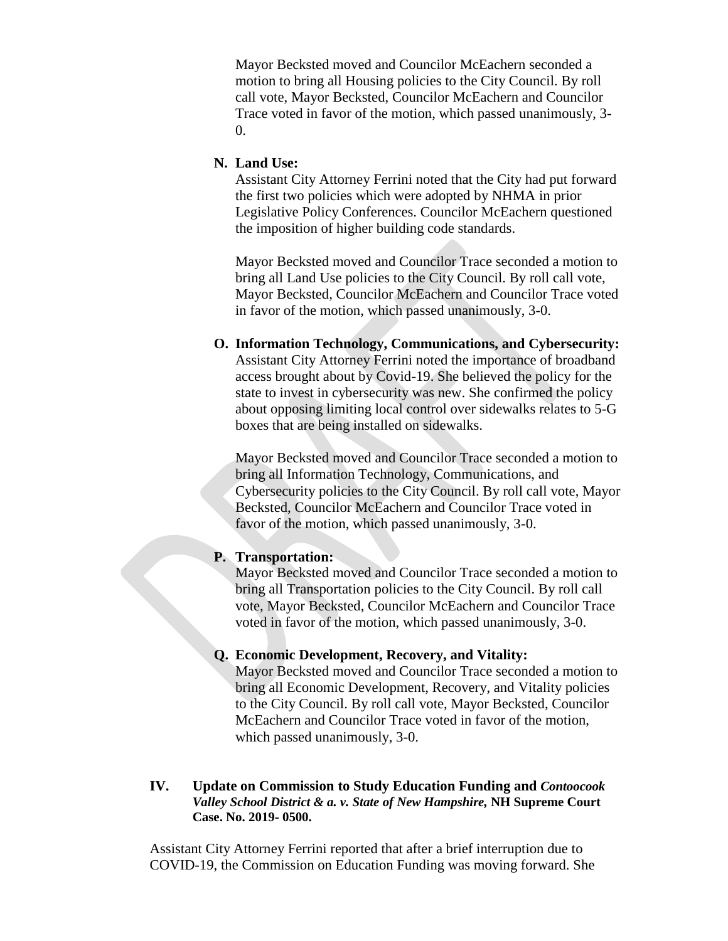Mayor Becksted moved and Councilor McEachern seconded a motion to bring all Housing policies to the City Council. By roll call vote, Mayor Becksted, Councilor McEachern and Councilor Trace voted in favor of the motion, which passed unanimously, 3- 0.

#### **N. Land Use:**

Assistant City Attorney Ferrini noted that the City had put forward the first two policies which were adopted by NHMA in prior Legislative Policy Conferences. Councilor McEachern questioned the imposition of higher building code standards.

Mayor Becksted moved and Councilor Trace seconded a motion to bring all Land Use policies to the City Council. By roll call vote, Mayor Becksted, Councilor McEachern and Councilor Trace voted in favor of the motion, which passed unanimously, 3-0.

# **O. Information Technology, Communications, and Cybersecurity:** Assistant City Attorney Ferrini noted the importance of broadband access brought about by Covid-19. She believed the policy for the state to invest in cybersecurity was new. She confirmed the policy about opposing limiting local control over sidewalks relates to 5-G boxes that are being installed on sidewalks.

Mayor Becksted moved and Councilor Trace seconded a motion to bring all Information Technology, Communications, and Cybersecurity policies to the City Council. By roll call vote, Mayor Becksted, Councilor McEachern and Councilor Trace voted in favor of the motion, which passed unanimously, 3-0.

#### **P. Transportation:**

Mayor Becksted moved and Councilor Trace seconded a motion to bring all Transportation policies to the City Council. By roll call vote, Mayor Becksted, Councilor McEachern and Councilor Trace voted in favor of the motion, which passed unanimously, 3-0.

#### **Q. Economic Development, Recovery, and Vitality:**

Mayor Becksted moved and Councilor Trace seconded a motion to bring all Economic Development, Recovery, and Vitality policies to the City Council. By roll call vote, Mayor Becksted, Councilor McEachern and Councilor Trace voted in favor of the motion, which passed unanimously, 3-0.

#### **IV. Update on Commission to Study Education Funding and** *Contoocook Valley School District & a. v. State of New Hampshire,* **NH Supreme Court Case. No. 2019- 0500.**

Assistant City Attorney Ferrini reported that after a brief interruption due to COVID-19, the Commission on Education Funding was moving forward. She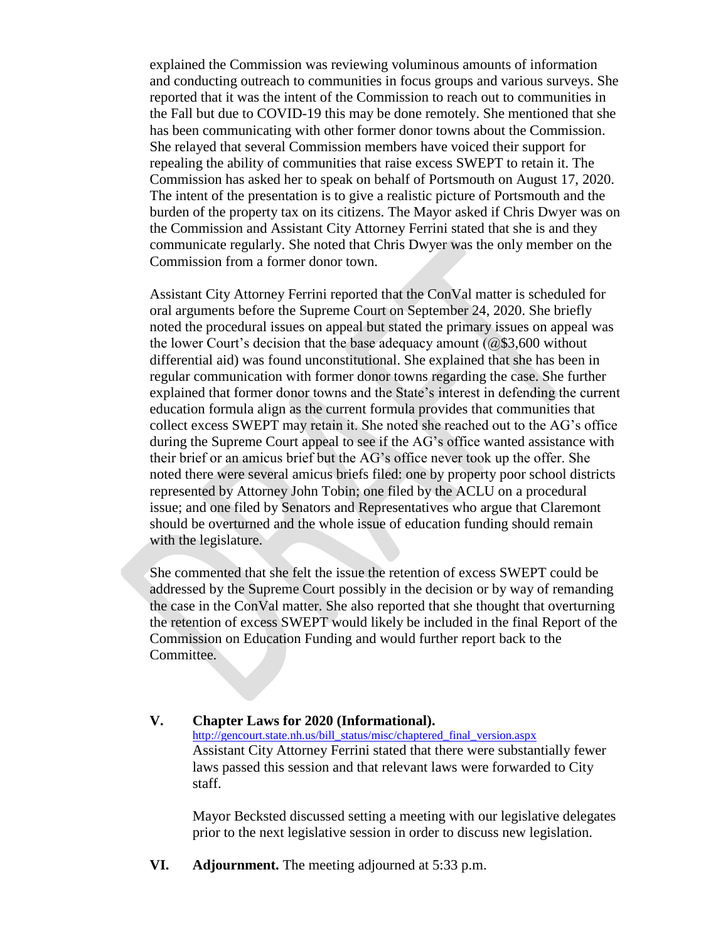explained the Commission was reviewing voluminous amounts of information and conducting outreach to communities in focus groups and various surveys. She reported that it was the intent of the Commission to reach out to communities in the Fall but due to COVID-19 this may be done remotely. She mentioned that she has been communicating with other former donor towns about the Commission. She relayed that several Commission members have voiced their support for repealing the ability of communities that raise excess SWEPT to retain it. The Commission has asked her to speak on behalf of Portsmouth on August 17, 2020. The intent of the presentation is to give a realistic picture of Portsmouth and the burden of the property tax on its citizens. The Mayor asked if Chris Dwyer was on the Commission and Assistant City Attorney Ferrini stated that she is and they communicate regularly. She noted that Chris Dwyer was the only member on the Commission from a former donor town.

Assistant City Attorney Ferrini reported that the ConVal matter is scheduled for oral arguments before the Supreme Court on September 24, 2020. She briefly noted the procedural issues on appeal but stated the primary issues on appeal was the lower Court's decision that the base adequacy amount  $(Q$3,600$  without differential aid) was found unconstitutional. She explained that she has been in regular communication with former donor towns regarding the case. She further explained that former donor towns and the State's interest in defending the current education formula align as the current formula provides that communities that collect excess SWEPT may retain it. She noted she reached out to the AG's office during the Supreme Court appeal to see if the AG's office wanted assistance with their brief or an amicus brief but the AG's office never took up the offer. She noted there were several amicus briefs filed: one by property poor school districts represented by Attorney John Tobin; one filed by the ACLU on a procedural issue; and one filed by Senators and Representatives who argue that Claremont should be overturned and the whole issue of education funding should remain with the legislature.

She commented that she felt the issue the retention of excess SWEPT could be addressed by the Supreme Court possibly in the decision or by way of remanding the case in the ConVal matter. She also reported that she thought that overturning the retention of excess SWEPT would likely be included in the final Report of the Commission on Education Funding and would further report back to the Committee.

# **V. Chapter Laws for 2020 (Informational).**

[http://gencourt.state.nh.us/bill\\_status/misc/chaptered\\_final\\_version.aspx](http://gencourt.state.nh.us/bill_status/misc/chaptered_final_version.aspx) Assistant City Attorney Ferrini stated that there were substantially fewer laws passed this session and that relevant laws were forwarded to City staff.

Mayor Becksted discussed setting a meeting with our legislative delegates prior to the next legislative session in order to discuss new legislation.

**VI. Adjournment.** The meeting adjourned at 5:33 p.m.